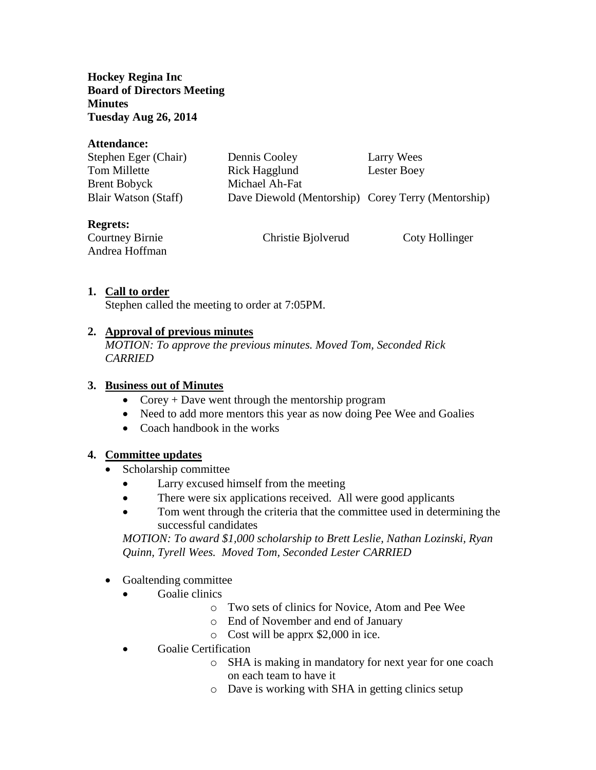**Hockey Regina Inc Board of Directors Meeting Minutes Tuesday Aug 26, 2014**

| Attendance:            |                                                    |                |
|------------------------|----------------------------------------------------|----------------|
| Stephen Eger (Chair)   | Dennis Cooley                                      | Larry Wees     |
| Tom Millette           | Rick Hagglund                                      | Lester Boey    |
| <b>Brent Bobyck</b>    | Michael Ah-Fat                                     |                |
| Blair Watson (Staff)   | Dave Diewold (Mentorship) Corey Terry (Mentorship) |                |
| <b>Regrets:</b>        |                                                    |                |
| <b>Courtney Birnie</b> | Christie Bjolverud                                 | Coty Hollinger |

**1. Call to order**

Andrea Hoffman

Stephen called the meeting to order at 7:05PM.

## **2. Approval of previous minutes**

*MOTION: To approve the previous minutes. Moved Tom, Seconded Rick CARRIED*

## **3. Business out of Minutes**

- Corey + Dave went through the mentorship program
- Need to add more mentors this year as now doing Pee Wee and Goalies
- Coach handbook in the works

#### **4. Committee updates**

- Scholarship committee
	- Larry excused himself from the meeting
	- There were six applications received. All were good applicants
	- Tom went through the criteria that the committee used in determining the successful candidates

*MOTION: To award \$1,000 scholarship to Brett Leslie, Nathan Lozinski, Ryan Quinn, Tyrell Wees. Moved Tom, Seconded Lester CARRIED*

- Goaltending committee
	- Goalie clinics
		- o Two sets of clinics for Novice, Atom and Pee Wee
		- o End of November and end of January
		- o Cost will be apprx \$2,000 in ice.
	- Goalie Certification
		- o SHA is making in mandatory for next year for one coach on each team to have it
		- o Dave is working with SHA in getting clinics setup